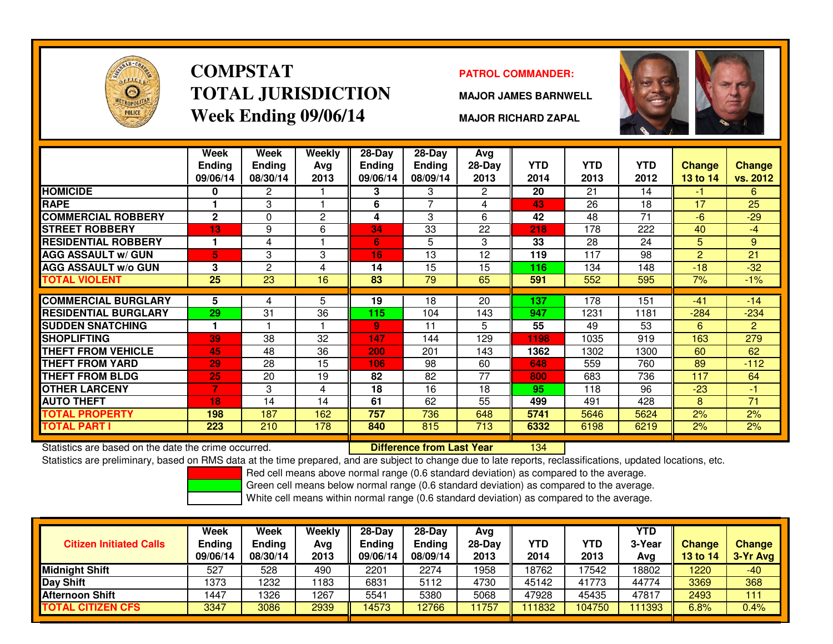

# **COMPSTATTOTAL JURISDICTIONWeek Ending 09/06/14**

### **PATROL COMMANDER:**

**MAJOR JAMES BARNWELL**



**MAJOR RICHARD ZAPAL**

|                             | Week<br><b>Ending</b><br>09/06/14 | Week<br><b>Ending</b><br>08/30/14 | Weekly<br>Ava<br>2013 | $28-Day$<br>Ending<br>09/06/14 | $28 - Day$<br><b>Ending</b><br>08/09/14 | Avg<br>$28-Day$<br>2013 | <b>YTD</b><br>2014 | <b>YTD</b><br>2013 | <b>YTD</b><br>2012 | <b>Change</b><br>13 to 14 | <b>Change</b><br>vs. 2012 |
|-----------------------------|-----------------------------------|-----------------------------------|-----------------------|--------------------------------|-----------------------------------------|-------------------------|--------------------|--------------------|--------------------|---------------------------|---------------------------|
| <b>HOMICIDE</b>             | 0                                 | $\mathbf{2}^{\prime}$             |                       | 3                              | 3                                       | $\mathbf{2}^{\circ}$    | 20                 | 21                 | 14                 | -1                        | 6                         |
| <b>RAPE</b>                 |                                   | 3                                 |                       | 6                              | 7                                       | 4                       | 43                 | 26                 | 18                 | 17                        | 25                        |
| <b>COMMERCIAL ROBBERY</b>   | $\overline{2}$                    | 0                                 | $\mathbf{2}$          | 4                              | 3                                       | 6                       | 42                 | 48                 | 71                 | -6                        | $-29$                     |
| <b>STREET ROBBERY</b>       | 13                                | 9                                 | 6                     | 34                             | 33                                      | 22                      | 218                | 178                | 222                | 40                        | -4                        |
| <b>RESIDENTIAL ROBBERY</b>  | 1                                 | 4                                 |                       | 6                              | 5                                       | 3                       | 33                 | 28                 | 24                 | 5                         | 9                         |
| <b>AGG ASSAULT w/ GUN</b>   | 5                                 | 3                                 | 3                     | 16                             | 13                                      | 12                      | 119                | 117                | 98                 | 2                         | 21                        |
| <b>AGG ASSAULT w/o GUN</b>  | 3                                 | $\overline{2}$                    | 4                     | 14                             | 15                                      | 15                      | 116                | 134                | 148                | $-18$                     | $-32$                     |
| <b>TOTAL VIOLENT</b>        | 25                                | 23                                | 16                    | 83                             | 79                                      | 65                      | 591                | 552                | 595                | 7%                        | $-1%$                     |
|                             |                                   |                                   |                       |                                |                                         |                         |                    |                    |                    |                           |                           |
| <b>COMMERCIAL BURGLARY</b>  | 5                                 | 4                                 | 5                     | 19                             | 18                                      | 20                      | 137                | 178                | 151                | $-41$                     | $-14$                     |
| <b>RESIDENTIAL BURGLARY</b> | 29                                | 31                                | 36                    | 115                            | 104                                     | 143                     | 947                | 1231               | 1181               | $-284$                    | $-234$                    |
| <b>SUDDEN SNATCHING</b>     | 1                                 |                                   |                       | 9                              | 11                                      | 5                       | 55                 | 49                 | 53                 | 6                         | $\overline{2}$            |
| <b>SHOPLIFTING</b>          | 39                                | 38                                | 32                    | 147                            | 144                                     | 129                     | 1198               | 1035               | 919                | 163                       | 279                       |
| <b>THEFT FROM VEHICLE</b>   | 45                                | 48                                | 36                    | 200                            | 201                                     | 143                     | 1362               | 1302               | 1300               | 60                        | 62                        |
| THEFT FROM YARD             | 29                                | 28                                | 15                    | 106                            | 98                                      | 60                      | 648                | 559                | 760                | 89                        | $-112$                    |
| <b>THEFT FROM BLDG</b>      | 25                                | 20                                | 19                    | 82                             | 82                                      | 77                      | 800                | 683                | 736                | 117                       | 64                        |
| <b>OTHER LARCENY</b>        | 7                                 | 3                                 | 4                     | 18                             | 16                                      | 18                      | 95                 | 118                | 96                 | $-23$                     | $-1$                      |
| <b>AUTO THEFT</b>           | 18                                | 14                                | 14                    | 61                             | 62                                      | 55                      | 499                | 491                | 428                | 8                         | 71                        |
| TOTAL PROPERTY              | 198                               | 187                               | 162                   | 757                            | 736                                     | 648                     | 5741               | 5646               | 5624               | 2%                        | 2%                        |
| TOTAL PART I                | 223                               | 210                               | 178                   | 840                            | 815                                     | 713                     | 6332               | 6198               | 6219               | 2%                        | 2%                        |

Statistics are based on the date the crime occurred. **Difference from Last Year** 

Statistics are based on the date the crime occurred. **[14] Luident Luiden Last Year 134 Metar** 134 Metas are preliminary, based on RMS data at the time prepared, and are subject to change due to late reports, reclassificat

Red cell means above normal range (0.6 standard deviation) as compared to the average.

Green cell means below normal range (0.6 standard deviation) as compared to the average.

| <b>Citizen Initiated Calls</b> | Week<br><b>Ending</b><br>09/06/14 | Week<br><b>Ending</b><br>08/30/14 | Weekly<br>Avg<br>2013 | $28-Dav$<br><b>Ending</b><br>09/06/14 | $28-Dav$<br>Ending<br>08/09/14 | Avg<br>$28-Day$<br>2013 | <b>YTD</b><br>2014 | YTD<br>2013 | YTD<br>3-Year<br>Avg | <b>Change</b><br><b>13 to 14</b> | <b>Change</b><br>3-Yr Avg |
|--------------------------------|-----------------------------------|-----------------------------------|-----------------------|---------------------------------------|--------------------------------|-------------------------|--------------------|-------------|----------------------|----------------------------------|---------------------------|
| <b>Midnight Shift</b>          | 527                               | 528                               | 490                   | 2201                                  | 2274                           | 1958                    | 18762              | 17542       | 18802                | 1220                             | $-40$                     |
| Day Shift                      | 1373                              | 1232                              | 1183                  | 6831                                  | 5112                           | 4730                    | 45142              | 41773       | 44774                | 3369                             | 368                       |
| <b>Afternoon Shift</b>         | 1447                              | 1326                              | 1267                  | 5541                                  | 5380                           | 5068                    | 47928              | 45435       | 47817                | 2493                             | 111                       |
| <b>TOTAL CITIZEN CFS</b>       | 3347                              | 3086                              | 2939                  | 14573                                 | 12766                          | 1757                    | 111832             | 104750      | 111393               | 6.8%                             | $0.4\%$                   |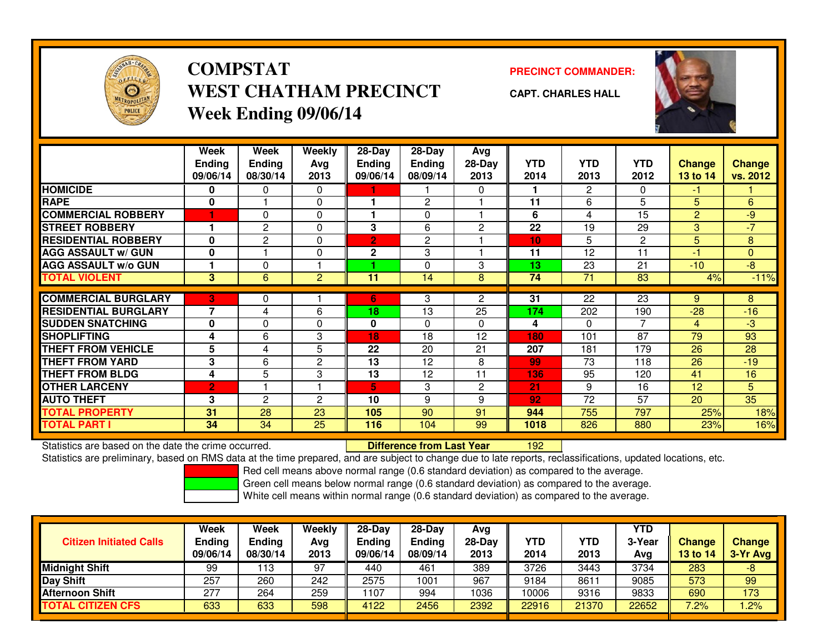

# **COMPSTATWEST CHATHAM PRECINCTWeek Ending 09/06/14**

**PRECINCT COMMANDER:**



**CAPT. CHARLES HALL**

|                             | Week<br><b>Ending</b><br>09/06/14 | Week<br><b>Ending</b><br>08/30/14 | Weekly<br>Avg<br>2013 | $28 - Day$<br><b>Ending</b><br>09/06/14 | 28-Day<br><b>Ending</b><br>08/09/14 | Avg<br>$28-Day$<br>2013 | <b>YTD</b><br>2014 | <b>YTD</b><br>2013 | <b>YTD</b><br>2012 | Change<br>13 to 14 | <b>Change</b><br>vs. 2012 |
|-----------------------------|-----------------------------------|-----------------------------------|-----------------------|-----------------------------------------|-------------------------------------|-------------------------|--------------------|--------------------|--------------------|--------------------|---------------------------|
| <b>HOMICIDE</b>             | 0                                 | $\Omega$                          | $\Omega$              |                                         |                                     | $\Omega$                |                    | 2                  | 0                  | -1                 |                           |
| <b>RAPE</b>                 | $\mathbf{0}$                      |                                   | $\Omega$              |                                         | $\overline{2}$                      |                         | 11                 | 6                  | 5                  | 5                  | 6                         |
| <b>COMMERCIAL ROBBERY</b>   |                                   | 0                                 | 0                     |                                         | 0                                   |                         | 6                  | 4                  | 15                 | $\overline{2}$     | $-9$                      |
| <b>STREET ROBBERY</b>       |                                   | $\overline{2}$                    | $\Omega$              | 3                                       | 6                                   | $\overline{2}$          | 22                 | 19                 | 29                 | 3                  | $-7$                      |
| <b>RESIDENTIAL ROBBERY</b>  | $\bf{0}$                          | 2                                 | 0                     | $\overline{2}$                          | $\overline{2}$                      |                         | 10 <sub>1</sub>    | 5                  | 2                  | 5                  | 8                         |
| <b>AGG ASSAULT w/ GUN</b>   | $\mathbf{0}$                      |                                   | $\Omega$              | $\mathbf{2}$                            | 3                                   |                         | 11                 | 12                 | 11                 | -1                 | $\Omega$                  |
| <b>AGG ASSAULT w/o GUN</b>  |                                   | $\Omega$                          |                       |                                         | $\Omega$                            | 3                       | 13                 | 23                 | 21                 | $-10$              | $-8$                      |
| <b>TOTAL VIOLENT</b>        | 3                                 | 6                                 | $\overline{2}$        | 11                                      | 14                                  | 8                       | 74                 | 71                 | 83                 | 4%                 | $-11%$                    |
|                             |                                   |                                   |                       |                                         |                                     |                         |                    |                    |                    |                    |                           |
| <b>COMMERCIAL BURGLARY</b>  | 3                                 | 0                                 |                       | 6                                       | 3                                   | 2                       | 31                 | 22                 | 23                 | 9                  | 8                         |
| <b>RESIDENTIAL BURGLARY</b> | 7                                 | 4                                 | 6                     | 18                                      | 13                                  | 25                      | 174                | 202                | 190                | $-28$              | $-16$                     |
| <b>SUDDEN SNATCHING</b>     | $\mathbf{0}$                      | $\Omega$                          | $\Omega$              | $\mathbf{0}$                            | $\Omega$                            | 0                       | 4                  | $\Omega$           | 7                  | 4                  | $-3$                      |
| <b>SHOPLIFTING</b>          | 4                                 | 6                                 | 3                     | 18                                      | 18                                  | 12                      | 180                | 101                | 87                 | 79                 | 93                        |
| <b>THEFT FROM VEHICLE</b>   | 5                                 | 4                                 | 5                     | 22                                      | 20                                  | 21                      | 207                | 181                | 179                | 26                 | 28                        |
| <b>THEFT FROM YARD</b>      | 3                                 | 6                                 | $\overline{2}$        | 13                                      | 12                                  | 8                       | 99                 | 73                 | 118                | 26                 | $-19$                     |
| <b>THEFT FROM BLDG</b>      | 4                                 | 5                                 | 3                     | 13                                      | 12                                  | 11                      | 136                | 95                 | 120                | 41                 | 16                        |
| <b>OTHER LARCENY</b>        | 2                                 |                                   |                       | 5                                       | 3                                   | 2                       | 21                 | 9                  | 16                 | 12                 | 5                         |
| <b>AUTO THEFT</b>           | 3                                 | $\mathbf{c}$                      | $\overline{2}$        | 10                                      | 9                                   | 9                       | 92                 | 72                 | 57                 | 20                 | $\overline{35}$           |
| TOTAL PROPERTY              | 31                                | 28                                | 23                    | 105                                     | 90                                  | 91                      | 944                | 755                | 797                | 25%                | 18%                       |
| TOTAL PART I                | 34                                | 34                                | 25                    | 116                                     | 104                                 | 99                      | 1018               | 826                | 880                | 23%                | 16%                       |

Statistics are based on the date the crime occurred. **Difference from Last Year** 

<sup>192</sup>

Statistics are preliminary, based on RMS data at the time prepared, and are subject to change due to late reports, reclassifications, updated locations, etc.

Red cell means above normal range (0.6 standard deviation) as compared to the average.

Green cell means below normal range (0.6 standard deviation) as compared to the average.

| <b>Citizen Initiated Calls</b> | Week<br><b>Ending</b><br>09/06/14 | Week<br><b>Ending</b><br>08/30/14 | Weekly<br>Avg<br>2013 | $28-Day$<br><b>Ending</b><br>09/06/14 | $28-Dav$<br><b>Ending</b><br>08/09/14 | Avg<br>28-Day<br>2013 | YTD<br>2014 | YTD<br>2013 | <b>YTD</b><br>3-Year<br>Avg | <b>Change</b><br>13 to 14 | <b>Change</b><br>3-Yr Avg |
|--------------------------------|-----------------------------------|-----------------------------------|-----------------------|---------------------------------------|---------------------------------------|-----------------------|-------------|-------------|-----------------------------|---------------------------|---------------------------|
| <b>Midnight Shift</b>          | 99                                | ∣13                               | 97                    | 440                                   | 461                                   | 389                   | 3726        | 3443        | 3734                        | 283                       | -8                        |
| Day Shift                      | 257                               | 260                               | 242                   | 2575                                  | 1001                                  | 967                   | 9184        | $861 -$     | 9085                        | 573                       | 99                        |
| <b>Afternoon Shift</b>         | 277                               | 264                               | 259                   | 1107                                  | 994                                   | 1036                  | 10006       | 9316        | 9833                        | 690                       | 173                       |
| <b>TOTAL CITIZEN CFS</b>       | 633                               | 633                               | 598                   | 4122                                  | 2456                                  | 2392                  | 22916       | 21370       | 22652                       | 7.2%                      | .2%                       |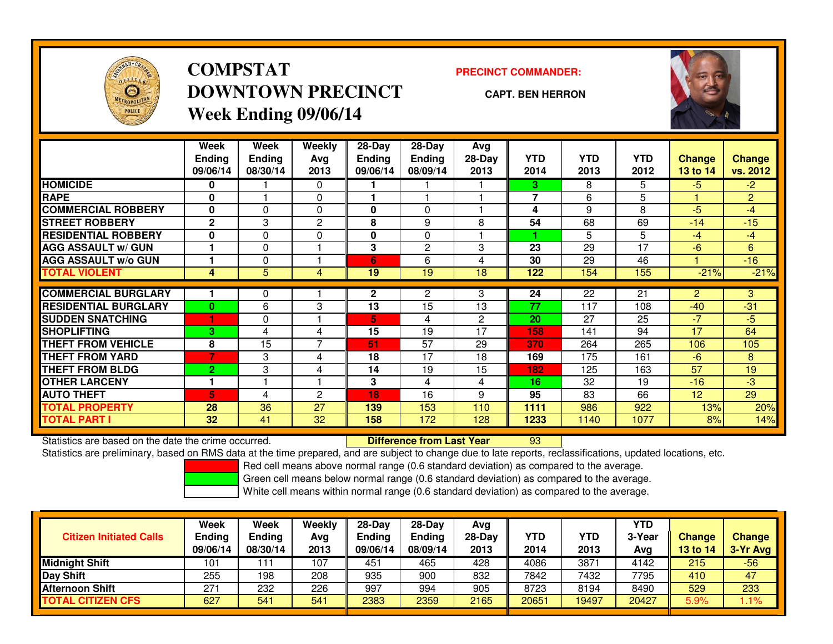

# **COMPSTATDOWNTOWN PRECINCTWeek Ending 09/06/14**

**PRECINCT COMMANDER:**

**CAPT. BEN HERRON**



|                             | <b>Week</b><br><b>Ending</b><br>09/06/14 | <b>Week</b><br><b>Ending</b><br>08/30/14 | <b>Weekly</b><br>Avg<br>2013 | $28-Day$<br><b>Ending</b><br>09/06/14 | 28-Day<br><b>Ending</b><br>08/09/14 | Avg<br>28-Day<br>2013 | <b>YTD</b><br>2014 | <b>YTD</b><br>2013 | YTD<br>2012 | <b>Change</b><br>13 to 14 | <b>Change</b><br>vs. 2012 |
|-----------------------------|------------------------------------------|------------------------------------------|------------------------------|---------------------------------------|-------------------------------------|-----------------------|--------------------|--------------------|-------------|---------------------------|---------------------------|
| <b>HOMICIDE</b>             | 0                                        |                                          | 0                            |                                       |                                     |                       | 3.                 | 8                  | 5           | $-5$                      | $-2$                      |
| <b>RAPE</b>                 | $\bf{0}$                                 |                                          | $\Omega$                     |                                       |                                     |                       | 7                  | 6                  | 5           |                           | $\overline{2}$            |
| <b>COMMERCIAL ROBBERY</b>   | 0                                        | 0                                        | $\Omega$                     | 0                                     | 0                                   |                       | 4                  | 9                  | 8           | $-5$                      | $-4$                      |
| <b>STREET ROBBERY</b>       | $\mathbf{2}$                             | 3                                        | $\overline{c}$               | 8                                     | 9                                   | 8                     | 54                 | 68                 | 69          | $-14$                     | $-15$                     |
| <b>RESIDENTIAL ROBBERY</b>  | $\bf{0}$                                 | 0                                        | 0                            | 0                                     | $\Omega$                            |                       |                    | 5.                 | 5           | $-4$                      | $-4$                      |
| <b>AGG ASSAULT w/ GUN</b>   |                                          | 0                                        |                              | 3                                     | $\mathbf{2}$                        | 3                     | 23                 | 29                 | 17          | $-6$                      | 6                         |
| <b>AGG ASSAULT w/o GUN</b>  |                                          | 0                                        |                              | 6                                     | 6                                   | 4                     | 30                 | 29                 | 46          |                           | $-16$                     |
| <b>TOTAL VIOLENT</b>        | 4                                        | 5                                        | 4                            | 19                                    | $\overline{19}$                     | 18                    | 122                | 154                | 155         | $-21%$                    | $-21%$                    |
|                             |                                          |                                          |                              |                                       |                                     |                       |                    |                    |             |                           |                           |
| <b>COMMERCIAL BURGLARY</b>  |                                          | 0                                        |                              | $\overline{2}$                        | $\overline{2}$                      | 3                     | 24                 | 22                 | 21          | $\overline{2}$            | 3                         |
| <b>RESIDENTIAL BURGLARY</b> | $\bf{0}$                                 | 6                                        | 3                            | 13                                    | 15                                  | 13                    | 77                 | 117                | 108         | $-40$                     | $-31$                     |
| <b>SUDDEN SNATCHING</b>     |                                          | 0                                        |                              | 5                                     | 4                                   | $\overline{2}$        | 20                 | 27                 | 25          | $-7$                      | $-5$                      |
| <b>ISHOPLIFTING</b>         | 3                                        | 4                                        | 4                            | 15                                    | 19                                  | 17                    | 158                | 141                | 94          | 17                        | 64                        |
| <b>THEFT FROM VEHICLE</b>   | 8                                        | 15                                       | 7                            | 51                                    | 57                                  | 29                    | 370                | 264                | 265         | 106                       | 105                       |
| <b>THEFT FROM YARD</b>      |                                          | 3                                        | 4                            | 18                                    | 17                                  | 18                    | 169                | 175                | 161         | $-6$                      | 8                         |
| <b>THEFT FROM BLDG</b>      | 2                                        | 3                                        | 4                            | 14                                    | 19                                  | 15                    | 182                | 125                | 163         | 57                        | 19                        |
| <b>OTHER LARCENY</b>        | 1                                        |                                          |                              | 3                                     | 4                                   | 4                     | 16                 | 32                 | 19          | $-16$                     | $-3$                      |
| <b>AUTO THEFT</b>           | 5                                        | 4                                        | 2                            | 18                                    | 16                                  | 9                     | 95                 | 83                 | 66          | 12 <sup>2</sup>           | 29                        |
| <b>TOTAL PROPERTY</b>       | 28                                       | 36                                       | 27                           | 139                                   | 153                                 | 110                   | 1111               | 986                | 922         | 13%                       | 20%                       |
| <b>TOTAL PART I</b>         | 32                                       | 41                                       | 32                           | 158                                   | 172                                 | 128                   | 1233               | 1140               | 1077        | 8%                        | 14%                       |

Statistics are based on the date the crime occurred. **Difference from Last Year** 

Statistics are based on the date the crime occurred. **Difference from Last Year Net archicle Statistics** are based on RMS data at the time prepared, and are subject to change due to late reports, reclassifications, updated

Red cell means above normal range (0.6 standard deviation) as compared to the average.

Green cell means below normal range (0.6 standard deviation) as compared to the average.

| <b>Citizen Initiated Calls</b> | <b>Week</b><br><b>Ending</b><br>09/06/14 | Week<br><b>Ending</b><br>08/30/14 | Weekly<br>Avg<br>2013 | $28-Day$<br>Ending<br>09/06/14 | 28-Day<br><b>Ending</b><br>08/09/14 | Avg<br>$28-Dav$<br>2013 | <b>YTD</b><br>2014 | YTD<br>2013 | YTD<br>3-Year<br>Ava | <b>Change</b><br>13 to 14 | <b>Change</b><br>3-Yr Avg |
|--------------------------------|------------------------------------------|-----------------------------------|-----------------------|--------------------------------|-------------------------------------|-------------------------|--------------------|-------------|----------------------|---------------------------|---------------------------|
| Midnight Shift                 | 101                                      |                                   | 107                   | 451                            | 465                                 | 428                     | 4086               | 3871        | 4142                 | 215                       | $-56$                     |
| Day Shift                      | 255                                      | 198                               | 208                   | 935                            | 900                                 | 832                     | 7842               | 7432        | 7795                 | 410                       | 47                        |
| <b>Afternoon Shift</b>         | 271                                      | 232                               | 226                   | 997                            | 994                                 | 905                     | 8723               | 8194        | 8490                 | 529                       | 233                       |
| <b>TOTAL CITIZEN CFS</b>       | 627                                      | 541                               | 541                   | 2383                           | 2359                                | 2165                    | 20651              | 19497       | 20427                | 5.9%                      | $1.1\%$                   |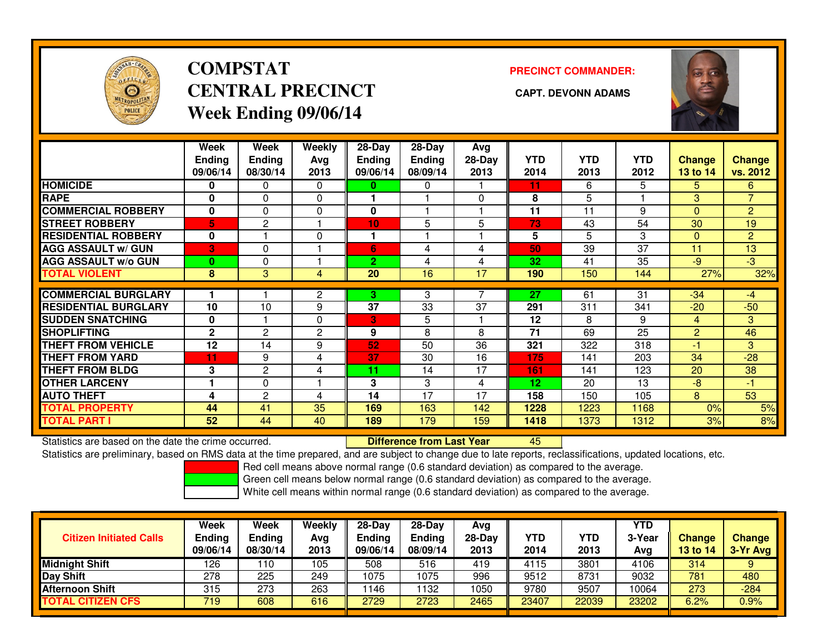

# **COMPSTATCENTRAL PRECINCT CAPT. DEVONN ADAMSWeek Ending 09/06/14**

**PRECINCT COMMANDER:**



|                             | Week<br><b>Ending</b><br>09/06/14 | Week<br><b>Ending</b><br>08/30/14 | Weekly<br>Avg<br>2013 | $28$ -Day<br><b>Ending</b><br>09/06/14 | $28-Day$<br><b>Ending</b><br>08/09/14 | Avg<br>28-Day<br>2013 | <b>YTD</b><br>2014 | <b>YTD</b><br>2013 | <b>YTD</b><br>2012 | <b>Change</b><br>13 to 14 | <b>Change</b><br>vs. 2012 |
|-----------------------------|-----------------------------------|-----------------------------------|-----------------------|----------------------------------------|---------------------------------------|-----------------------|--------------------|--------------------|--------------------|---------------------------|---------------------------|
| <b>HOMICIDE</b>             | 0                                 | $\Omega$                          | $\Omega$              | 0                                      | 0                                     |                       | 11                 | 6                  | 5                  | 5                         | 6.                        |
| <b>RAPE</b>                 | 0                                 | 0                                 | 0                     |                                        |                                       | $\Omega$              | 8                  | 5                  |                    | 3                         | $\overline{\phantom{a}}$  |
| <b>COMMERCIAL ROBBERY</b>   | 0                                 | $\Omega$                          | 0                     | $\bf{0}$                               |                                       |                       | 11                 | 11                 | 9                  | $\Omega$                  | $\overline{2}$            |
| <b>STREET ROBBERY</b>       | 5                                 | 2                                 |                       | 10                                     | 5                                     | 5                     | 73                 | 43                 | 54                 | 30                        | 19                        |
| <b>RESIDENTIAL ROBBERY</b>  | 0                                 |                                   | $\Omega$              | и                                      |                                       |                       | 5                  | 5                  | 3                  | $\Omega$                  | $\overline{2}$            |
| <b>AGG ASSAULT w/ GUN</b>   | 3                                 | $\Omega$                          |                       | 6                                      | 4                                     | 4                     | 50                 | 39                 | 37                 | 11                        | 13                        |
| <b>AGG ASSAULT w/o GUN</b>  | $\bf{0}$                          | 0                                 |                       | $\overline{2}$                         | 4                                     | 4                     | 32                 | 41                 | 35                 | $-9$                      | $\overline{3}$            |
| <b>TOTAL VIOLENT</b>        | 8                                 | 3                                 | 4                     | 20                                     | 16                                    | 17                    | 190                | 150                | 144                | 27%                       | 32%                       |
|                             |                                   |                                   |                       |                                        |                                       |                       |                    |                    |                    |                           |                           |
| <b>COMMERCIAL BURGLARY</b>  |                                   |                                   | 2                     | 3                                      | 3                                     |                       | 27                 | 61                 | 31                 | $-34$                     | $-4$                      |
| <b>RESIDENTIAL BURGLARY</b> | 10                                | 10                                | 9                     | 37                                     | 33                                    | 37                    | 291                | 311                | 341                | $-20$                     | $-50$                     |
| <b>SUDDEN SNATCHING</b>     | 0                                 |                                   | $\Omega$              | 3                                      | 5                                     |                       | 12                 | 8                  | 9                  | $\overline{4}$            | 3                         |
| <b>SHOPLIFTING</b>          | $\mathbf{2}$                      | 2                                 | 2                     | 9                                      | 8                                     | 8                     | 71                 | 69                 | 25                 | 2                         | 46                        |
| <b>THEFT FROM VEHICLE</b>   | 12                                | 14                                | 9                     | 52                                     | 50                                    | 36                    | 321                | 322                | 318                | $-1$                      | 3                         |
| <b>THEFT FROM YARD</b>      | 11                                | 9                                 | $\overline{4}$        | 37                                     | 30                                    | 16                    | 175                | 141                | 203                | 34                        | $-28$                     |
| <b>THEFT FROM BLDG</b>      | 3                                 | 2                                 | 4                     | 11                                     | 14                                    | 17                    | 161                | 141                | 123                | 20                        | 38                        |
| <b>OTHER LARCENY</b>        |                                   | $\Omega$                          |                       | 3                                      | 3                                     | 4                     | 12                 | 20                 | 13                 | $-8$                      | $-1$                      |
| <b>AUTO THEFT</b>           | 4                                 | $\mathbf{2}$                      | 4                     | 14                                     | 17                                    | 17                    | 158                | 150                | 105                | 8                         | 53                        |
| <b>TOTAL PROPERTY</b>       | 44                                | 41                                | 35                    | 169                                    | 163                                   | 142                   | 1228               | 1223               | 1168               | 0%                        | 5%                        |
| <b>TOTAL PART I</b>         | 52                                | 44                                | 40                    | 189                                    | 179                                   | 159                   | 1418               | 1373               | 1312               | 3%                        | 8%                        |

Statistics are based on the date the crime occurred. **Difference from Last Year** 

Statistics are based on the date the crime occurred. **Externee the Luid Confference from Last Year Mated Action**<br>Statistics are preliminary, based on RMS data at the time prepared, and are subject to change due to late rep

Red cell means above normal range (0.6 standard deviation) as compared to the average.

Green cell means below normal range (0.6 standard deviation) as compared to the average.

| <b>Citizen Initiated Calls</b> | Week<br><b>Ending</b><br>09/06/14 | Week<br><b>Ending</b><br>08/30/14 | Weekly<br>Avg<br>2013 | $28-Day$<br><b>Ending</b><br>09/06/14 | 28-Dav<br><b>Ending</b><br>08/09/14 | Avg<br>$28-Dav$<br>2013 | YTD<br>2014 | YTD<br>2013 | YTD<br>3-Year<br>Avg | <b>Change</b><br><b>13 to 14</b> | Change<br>3-Yr Avg |
|--------------------------------|-----------------------------------|-----------------------------------|-----------------------|---------------------------------------|-------------------------------------|-------------------------|-------------|-------------|----------------------|----------------------------------|--------------------|
| <b>Midnight Shift</b>          | 126                               | 110                               | 105                   | 508                                   | 516                                 | 419                     | 4115        | 3801        | 4106                 | 314                              | 9                  |
| Day Shift                      | 278                               | 225                               | 249                   | 1075                                  | 1075                                | 996                     | 9512        | 8731        | 9032                 | 781                              | 480                |
| <b>Afternoon Shift</b>         | 315                               | 273                               | 263                   | 146                                   | 132                                 | 1050                    | 9780        | 9507        | 10064                | 273                              | $-284$             |
| <b>TOTAL CITIZEN CFS</b>       | 719                               | 608                               | 616                   | 2729                                  | 2723                                | 2465                    | 23407       | 22039       | 23202                | 6.2%                             | 0.9%               |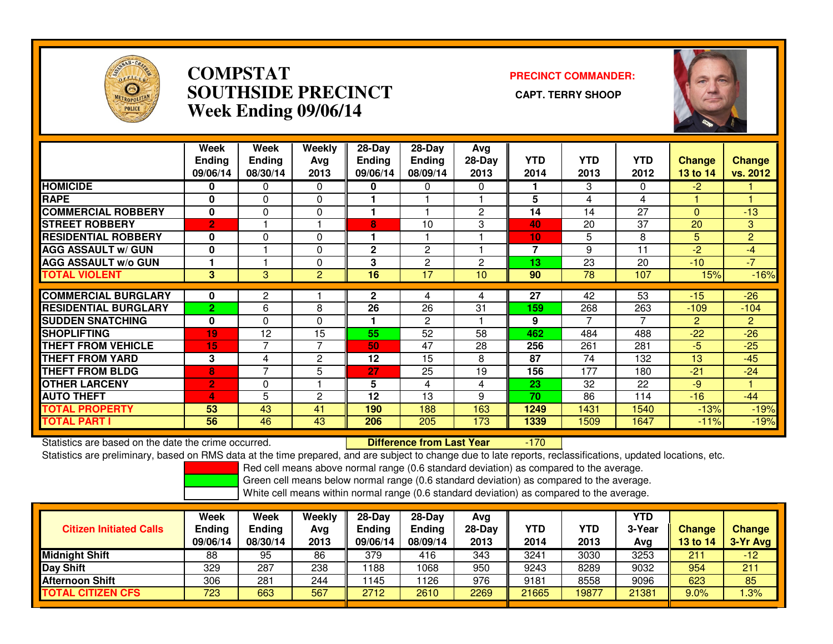

### **COMPSTAT PRECINCT COMMANDER: SOUTHSIDE PRECINCT CAPT. TERRY SHOOPWeek Ending 09/06/14**



|                             | Week<br><b>Ending</b><br>09/06/14 | Week<br><b>Ending</b><br>08/30/14 | Weekly<br>Avg<br>2013 | $28-Day$<br><b>Endina</b><br>09/06/14 | $28-Day$<br><b>Ending</b><br>08/09/14 | Avg<br>$28-Day$<br>2013 | <b>YTD</b><br>2014 | <b>YTD</b><br>2013 | YTD<br>2012 | Change<br>13 to 14 | <b>Change</b><br>vs. 2012 |
|-----------------------------|-----------------------------------|-----------------------------------|-----------------------|---------------------------------------|---------------------------------------|-------------------------|--------------------|--------------------|-------------|--------------------|---------------------------|
| <b>HOMICIDE</b>             | 0                                 | 0                                 | $\Omega$              | 0                                     | $\Omega$                              | $\Omega$                |                    | 3                  | 0           | $-2$               |                           |
| <b>RAPE</b>                 | 0                                 | 0                                 | 0                     |                                       |                                       |                         | 5                  | 4                  | 4           |                    |                           |
| <b>COMMERCIAL ROBBERY</b>   | $\bf{0}$                          | 0                                 | $\mathbf{0}$          | 1                                     |                                       | $\overline{2}$          | 14                 | 14                 | 27          | $\mathbf{0}$       | $-13$                     |
| <b>STREET ROBBERY</b>       | $\overline{2}$                    |                                   |                       | 8                                     | 10                                    | 3                       | 40                 | 20                 | 37          | 20                 | 3                         |
| <b>RESIDENTIAL ROBBERY</b>  | 0                                 | 0                                 | $\Omega$              |                                       |                                       |                         | 10                 | 5                  | 8           | 5                  | $\overline{2}$            |
| <b>AGG ASSAULT w/ GUN</b>   | $\bf{0}$                          |                                   | 0                     | $\mathbf{2}$                          | 2                                     |                         | 7                  | 9                  | 11          | $-2$               | -4                        |
| <b>AGG ASSAULT w/o GUN</b>  |                                   |                                   | 0                     | 3                                     | $\mathbf{2}$                          | $\overline{2}$          | 13                 | 23                 | 20          | $-10^{-}$          | $-7$                      |
| <b>TOTAL VIOLENT</b>        | 3                                 | 3                                 | 2                     | 16                                    | 17                                    | 10                      | 90                 | 78                 | 107         | 15%                | $-16%$                    |
|                             |                                   |                                   |                       |                                       |                                       |                         |                    |                    |             |                    |                           |
| <b>COMMERCIAL BURGLARY</b>  | 0                                 | 2                                 |                       | $\mathbf{2}$                          | 4                                     | 4                       | 27                 | 42                 | 53          | $-15$              | $-26$                     |
| <b>RESIDENTIAL BURGLARY</b> | $\overline{2}$                    | 6                                 | 8                     | 26                                    | 26                                    | 31                      | 159                | 268                | 263         | $-109$             | $-104$                    |
| <b>SUDDEN SNATCHING</b>     | 0                                 | $\Omega$                          | $\Omega$              |                                       | 2                                     |                         | 9                  | 7                  | 7           | $\overline{2}$     | $\overline{2}$            |
| <b>SHOPLIFTING</b>          | 19                                | 12                                | 15                    | 55                                    | 52                                    | 58                      | 462                | 484                | 488         | $-22$              | $-26$                     |
| <b>THEFT FROM VEHICLE</b>   | 15                                | $\overline{7}$                    | $\overline{7}$        | 50                                    | 47                                    | 28                      | 256                | 261                | 281         | $-5$               | $-25$                     |
| <b>THEFT FROM YARD</b>      | 3                                 | 4                                 | $\overline{c}$        | 12                                    | 15                                    | 8                       | 87                 | 74                 | 132         | 13                 | $-45$                     |
| <b>THEFT FROM BLDG</b>      | 8                                 | ⇁                                 | 5                     | 27                                    | 25                                    | 19                      | 156                | 177                | 180         | $-21$              | $-24$                     |
| <b>OTHER LARCENY</b>        | $\overline{2}$                    | 0                                 |                       | 5                                     | 4                                     | 4                       | 23                 | 32                 | 22          | $-9$               |                           |
| <b>AUTO THEFT</b>           | 4                                 | 5                                 | $\overline{c}$        | 12                                    | 13                                    | 9                       | 70                 | 86                 | 114         | $-16$              | $-44$                     |
| <b>TOTAL PROPERTY</b>       | 53                                | 43                                | 41                    | 190                                   | 188                                   | 163                     | 1249               | 1431               | 1540        | $-13%$             | $-19%$                    |
| <b>TOTAL PART I</b>         | 56                                | 46                                | 43                    | 206                                   | 205                                   | 173                     | 1339               | 1509               | 1647        | $-11%$             | $-19%$                    |

Statistics are based on the date the crime occurred. **Difference from Last Year** 

-170

Statistics are preliminary, based on RMS data at the time prepared, and are subject to change due to late reports, reclassifications, updated locations, etc.

Red cell means above normal range (0.6 standard deviation) as compared to the average.

Green cell means below normal range (0.6 standard deviation) as compared to the average.

|                                | Week               | Week                      | Weekly      | $28-Day$           | $28$ -Day          | Avg            |             |             | <b>YTD</b>    |                                  |                           |
|--------------------------------|--------------------|---------------------------|-------------|--------------------|--------------------|----------------|-------------|-------------|---------------|----------------------------------|---------------------------|
| <b>Citizen Initiated Calls</b> | Ending<br>09/06/14 | <b>Ending</b><br>08/30/14 | Avg<br>2013 | Ending<br>09/06/14 | Endina<br>08/09/14 | 28-Day<br>2013 | YTD<br>2014 | YTD<br>2013 | 3-Year<br>Avg | <b>Change</b><br><b>13 to 14</b> | <b>Change</b><br>3-Yr Avg |
| <b>Midnight Shift</b>          | 88                 | 95                        | 86          | 379                | 416                | 343            | 3241        | 3030        | 3253          | 211                              | $-12$                     |
| Day Shift                      | 329                | 287                       | 238         | 1188               | 1068               | 950            | 9243        | 8289        | 9032          | 954                              | 211                       |
| <b>Afternoon Shift</b>         | 306                | 281                       | 244         | 1145               | 126                | 976            | 9181        | 8558        | 9096          | 623                              | 85                        |
| <b>TOTAL CITIZEN CFS</b>       | 723                | 663                       | 567         | 2712               | 2610               | 2269           | 21665       | 19877       | 21381         | 9.0%                             | .3%                       |